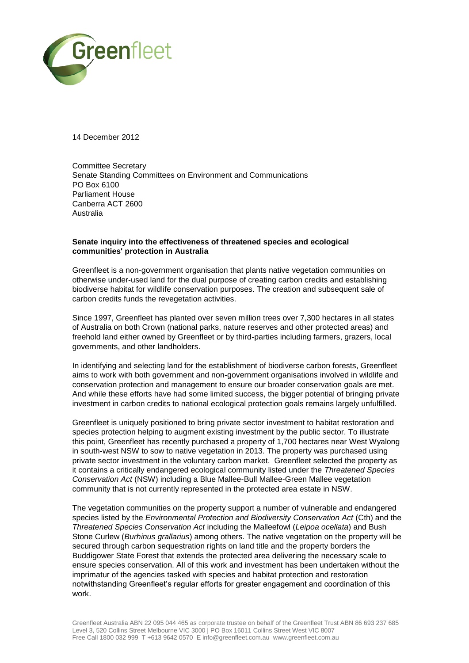

14 December 2012

Committee Secretary Senate Standing Committees on Environment and Communications PO Box 6100 Parliament House Canberra ACT 2600 Australia

## **Senate inquiry into the effectiveness of threatened species and ecological communities' protection in Australia**

Greenfleet is a non-government organisation that plants native vegetation communities on otherwise under-used land for the dual purpose of creating carbon credits and establishing biodiverse habitat for wildlife conservation purposes. The creation and subsequent sale of carbon credits funds the revegetation activities.

Since 1997, Greenfleet has planted over seven million trees over 7,300 hectares in all states of Australia on both Crown (national parks, nature reserves and other protected areas) and freehold land either owned by Greenfleet or by third-parties including farmers, grazers, local governments, and other landholders.

In identifying and selecting land for the establishment of biodiverse carbon forests, Greenfleet aims to work with both government and non-government organisations involved in wildlife and conservation protection and management to ensure our broader conservation goals are met. And while these efforts have had some limited success, the bigger potential of bringing private investment in carbon credits to national ecological protection goals remains largely unfulfilled.

Greenfleet is uniquely positioned to bring private sector investment to habitat restoration and species protection helping to augment existing investment by the public sector. To illustrate this point, Greenfleet has recently purchased a property of 1,700 hectares near West Wyalong in south-west NSW to sow to native vegetation in 2013. The property was purchased using private sector investment in the voluntary carbon market. Greenfleet selected the property as it contains a critically endangered ecological community listed under the *Threatened Species Conservation Act* (NSW) including a Blue Mallee-Bull Mallee-Green Mallee vegetation community that is not currently represented in the protected area estate in NSW.

The vegetation communities on the property support a number of vulnerable and endangered species listed by the *Environmental Protection and Biodiversity Conservation Act* (Cth) and the *Threatened Species Conservation Act* including the Malleefowl (*Leipoa ocellata*) and Bush Stone Curlew (*Burhinus grallarius*) among others. The native vegetation on the property will be secured through carbon sequestration rights on land title and the property borders the Buddigower State Forest that extends the protected area delivering the necessary scale to ensure species conservation. All of this work and investment has been undertaken without the imprimatur of the agencies tasked with species and habitat protection and restoration notwithstanding Greenfleet's regular efforts for greater engagement and coordination of this work.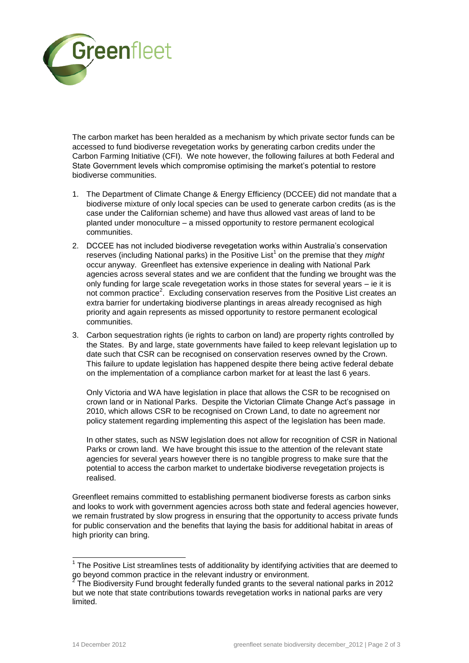

The carbon market has been heralded as a mechanism by which private sector funds can be accessed to fund biodiverse revegetation works by generating carbon credits under the Carbon Farming Initiative (CFI). We note however, the following failures at both Federal and State Government levels which compromise optimising the market's potential to restore biodiverse communities.

- 1. The Department of Climate Change & Energy Efficiency (DCCEE) did not mandate that a biodiverse mixture of only local species can be used to generate carbon credits (as is the case under the Californian scheme) and have thus allowed vast areas of land to be planted under monoculture – a missed opportunity to restore permanent ecological communities.
- 2. DCCEE has not included biodiverse revegetation works within Australia's conservation reserves (including National parks) in the Positive List<sup>1</sup> on the premise that they *might* occur anyway. Greenfleet has extensive experience in dealing with National Park agencies across several states and we are confident that the funding we brought was the only funding for large scale revegetation works in those states for several years – ie it is not common practice<sup>2</sup>. Excluding conservation reserves from the Positive List creates an extra barrier for undertaking biodiverse plantings in areas already recognised as high priority and again represents as missed opportunity to restore permanent ecological communities.
- 3. Carbon sequestration rights (ie rights to carbon on land) are property rights controlled by the States. By and large, state governments have failed to keep relevant legislation up to date such that CSR can be recognised on conservation reserves owned by the Crown. This failure to update legislation has happened despite there being active federal debate on the implementation of a compliance carbon market for at least the last 6 years.

Only Victoria and WA have legislation in place that allows the CSR to be recognised on crown land or in National Parks. Despite the Victorian Climate Change Act's passage in 2010, which allows CSR to be recognised on Crown Land, to date no agreement nor policy statement regarding implementing this aspect of the legislation has been made.

In other states, such as NSW legislation does not allow for recognition of CSR in National Parks or crown land. We have brought this issue to the attention of the relevant state agencies for several years however there is no tangible progress to make sure that the potential to access the carbon market to undertake biodiverse revegetation projects is realised.

Greenfleet remains committed to establishing permanent biodiverse forests as carbon sinks and looks to work with government agencies across both state and federal agencies however, we remain frustrated by slow progress in ensuring that the opportunity to access private funds for public conservation and the benefits that laying the basis for additional habitat in areas of high priority can bring.

 1 The Positive List streamlines tests of additionality by identifying activities that are deemed to go beyond common practice in the relevant industry or environment.<br><sup>2</sup> The Biodiversity Fund brought federally funded grapte to the equati

The Biodiversity Fund brought federally funded grants to the several national parks in 2012 but we note that state contributions towards revegetation works in national parks are very limited.